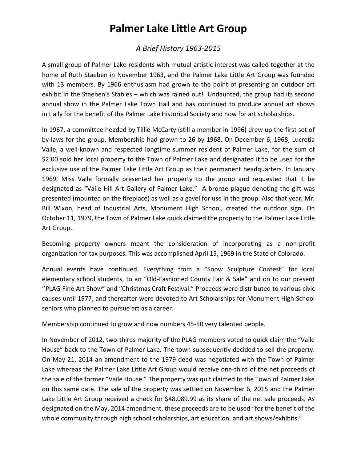# **Palmer Lake Little Art Group**

#### *A Brief History 1963-2015*

A small group of Palmer Lake residents with mutual artistic interest was called together at the home of Ruth Staeben in November 1963, and the Palmer Lake Little Art Group was founded with 13 members. By 1966 enthusiasm had grown to the point of presenting an outdoor art exhibit in the Staeben's Stables – which was rained out! Undaunted, the group had its second annual show in the Palmer Lake Town Hall and has continued to produce annual art shows initially for the benefit of the Palmer Lake Historical Society and now for art scholarships.

In 1967, a committee headed by Tillie McCarty (still a member in 1996) drew up the first set of by-laws for the group. Membership had grown to 26 by 1968. On December 6, 1968, Lucretia Vaile, a well-known and respected longtime summer resident of Palmer Lake, for the sum of \$2.00 sold her local property to the Town of Palmer Lake and designated it to be used for the exclusive use of the Palmer Lake Little Art Group as their permanent headquarters. In January 1969, Miss Vaile formally presented her property to the group and requested that it be designated as "Vaile Hill Art Gallery of Palmer Lake." A bronze plague denoting the gift was presented (mounted on the fireplace) as well as a gavel for use in the group. Also that year, Mr. Bill Wixon, head of Industrial Arts, Monument High School, created the outdoor sign. On October 11, 1979, the Town of Palmer Lake quick claimed the property to the Palmer Lake Little Art Group.

Becoming property owners meant the consideration of incorporating as a non-profit organization for tax purposes. This was accomplished April 15, 1969 in the State of Colorado.

Annual events have continued. Everything from a "Snow Sculpture Contest" for local elementary school students, to an "Old-Fashioned County Fair & Sale" and on to our present ''PLAG Fine Art Show" and "Christmas Craft Festival." Proceeds were distributed to various civic causes until 1977, and thereafter were devoted to Art Scholarships for Monument High School seniors who planned to pursue art as a career.

Membership continued to grow and now numbers 45-50 very talented people.

In November of 2012, two-thirds majority of the PLAG members voted to quick claim the "Vaile House" back to the Town of Palmer Lake. The town subsequently decided to sell the property. On May 21, 2014 an amendment to the 1979 deed was negotiated with the Town of Palmer Lake whereas the Palmer Lake Little Art Group would receive one-third of the net proceeds of the sale of the former "Vaile House." The property was quit claimed to the Town of Palmer Lake on this same date. The sale of the property was settled on November 6, 2015 and the Palmer Lake Little Art Group received a check for \$48,089.99 as its share of the net sale proceeds. As designated on the May, 2014 amendment, these proceeds are to be used "for the benefit of the whole community through high school scholarships, art education, and art shows/exhibits."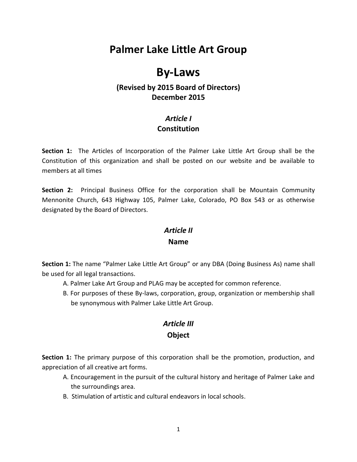# **Palmer Lake Little Art Group**

## **By-Laws**

#### **(Revised by 2015 Board of Directors) December 2015**

### *Article I* **Constitution**

**Section 1:** The Articles of Incorporation of the Palmer Lake Little Art Group shall be the Constitution of this organization and shall be posted on our website and be available to members at all times

**Section 2:** Principal Business Office for the corporation shall be Mountain Community Mennonite Church, 643 Highway 105, Palmer Lake, Colorado, PO Box 543 or as otherwise designated by the Board of Directors.

#### *Article II*

#### **Name**

**Section 1:** The name "Palmer Lake Little Art Group" or any DBA (Doing Business As) name shall be used for all legal transactions.

- A. Palmer Lake Art Group and PLAG may be accepted for common reference.
- B. For purposes of these By-laws, corporation, group, organization or membership shall be synonymous with Palmer Lake Little Art Group.

# *Article III*

#### **Object**

**Section 1:** The primary purpose of this corporation shall be the promotion, production, and appreciation of all creative art forms.

- A. Encouragement in the pursuit of the cultural history and heritage of Palmer Lake and the surroundings area.
- B. Stimulation of artistic and cultural endeavors in local schools.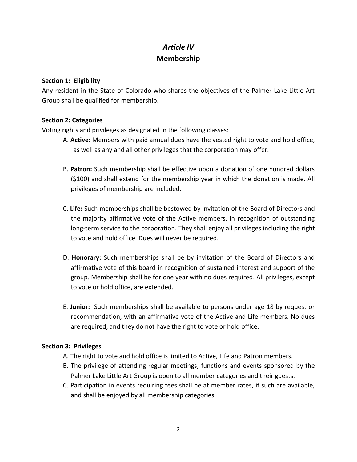### *Article IV* **Membership**

#### **Section 1: Eligibility**

Any resident in the State of Colorado who shares the objectives of the Palmer Lake Little Art Group shall be qualified for membership.

#### **Section 2: Categories**

Voting rights and privileges as designated in the following classes:

- A. **Active:** Members with paid annual dues have the vested right to vote and hold office, as well as any and all other privileges that the corporation may offer.
- B. **Patron:** Such membership shall be effective upon a donation of one hundred dollars (\$100) and shall extend for the membership year in which the donation is made. All privileges of membership are included.
- C. **Life:** Such memberships shall be bestowed by invitation of the Board of Directors and the majority affirmative vote of the Active members, in recognition of outstanding long-term service to the corporation. They shall enjoy all privileges including the right to vote and hold office. Dues will never be required.
- D. **Honorary:** Such memberships shall be by invitation of the Board of Directors and affirmative vote of this board in recognition of sustained interest and support of the group. Membership shall be for one year with no dues required. All privileges, except to vote or hold office, are extended.
- E. **Junior:** Such memberships shall be available to persons under age 18 by request or recommendation, with an affirmative vote of the Active and Life members. No dues are required, and they do not have the right to vote or hold office.

#### **Section 3: Privileges**

- A. The right to vote and hold office is limited to Active, Life and Patron members.
- B. The privilege of attending regular meetings, functions and events sponsored by the Palmer Lake Little Art Group is open to all member categories and their guests.
- C. Participation in events requiring fees shall be at member rates, if such are available, and shall be enjoyed by all membership categories.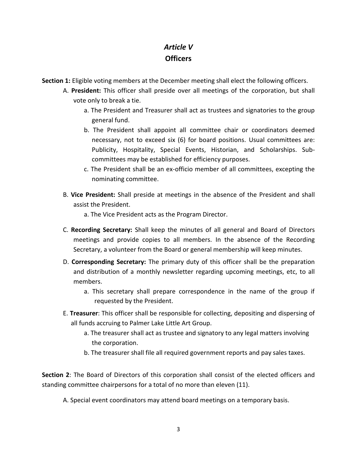### *Article V* **Officers**

**Section 1:** Eligible voting members at the December meeting shall elect the following officers.

- A. **President:** This officer shall preside over all meetings of the corporation, but shall vote only to break a tie.
	- a. The President and Treasurer shall act as trustees and signatories to the group general fund.
	- b. The President shall appoint all committee chair or coordinators deemed necessary, not to exceed six (6) for board positions. Usual committees are: Publicity, Hospitality, Special Events, Historian, and Scholarships. Subcommittees may be established for efficiency purposes.
	- c. The President shall be an ex-officio member of all committees, excepting the nominating committee.
- B. **Vice President:** Shall preside at meetings in the absence of the President and shall assist the President.
	- a. The Vice President acts as the Program Director.
- C. **Recording Secretary:** Shall keep the minutes of all general and Board of Directors meetings and provide copies to all members. In the absence of the Recording Secretary, a volunteer from the Board or general membership will keep minutes.
- D. **Corresponding Secretary:** The primary duty of this officer shall be the preparation and distribution of a monthly newsletter regarding upcoming meetings, etc, to all members.
	- a. This secretary shall prepare correspondence in the name of the group if requested by the President.
- E. **Treasurer**: This officer shall be responsible for collecting, depositing and dispersing of all funds accruing to Palmer Lake Little Art Group.
	- a. The treasurer shall act as trustee and signatory to any legal matters involving the corporation.
	- b. The treasurer shall file all required government reports and pay sales taxes.

**Section 2**: The Board of Directors of this corporation shall consist of the elected officers and standing committee chairpersons for a total of no more than eleven (11).

A. Special event coordinators may attend board meetings on a temporary basis.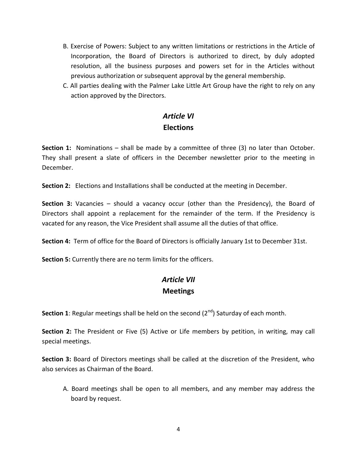- B. Exercise of Powers: Subject to any written limitations or restrictions in the Article of Incorporation, the Board of Directors is authorized to direct, by duly adopted resolution, all the business purposes and powers set for in the Articles without previous authorization or subsequent approval by the general membership.
- C. All parties dealing with the Palmer Lake Little Art Group have the right to rely on any action approved by the Directors.

### *Article VI* **Elections**

**Section 1:** Nominations – shall be made by a committee of three (3) no later than October. They shall present a slate of officers in the December newsletter prior to the meeting in December.

**Section 2:** Elections and Installations shall be conducted at the meeting in December.

**Section 3:** Vacancies – should a vacancy occur (other than the Presidency), the Board of Directors shall appoint a replacement for the remainder of the term. If the Presidency is vacated for any reason, the Vice President shall assume all the duties of that office.

**Section 4:** Term of office for the Board of Directors is officially January 1st to December 31st.

**Section 5:** Currently there are no term limits for the officers.

### *Article VII* **Meetings**

**Section 1**: Regular meetings shall be held on the second  $(2^{nd})$  Saturday of each month.

**Section 2:** The President or Five (5) Active or Life members by petition, in writing, may call special meetings.

**Section 3:** Board of Directors meetings shall be called at the discretion of the President, who also services as Chairman of the Board.

A. Board meetings shall be open to all members, and any member may address the board by request.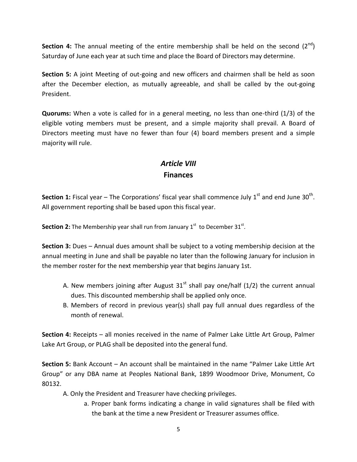**Section 4:** The annual meeting of the entire membership shall be held on the second (2<sup>nd</sup>) Saturday of June each year at such time and place the Board of Directors may determine.

**Section 5:** A joint Meeting of out-going and new officers and chairmen shall be held as soon after the December election, as mutually agreeable, and shall be called by the out-going President.

**Quorums:** When a vote is called for in a general meeting, no less than one-third (1/3) of the eligible voting members must be present, and a simple majority shall prevail. A Board of Directors meeting must have no fewer than four (4) board members present and a simple majority will rule.

### *Article VIII* **Finances**

Section 1: Fiscal year – The Corporations' fiscal year shall commence July 1<sup>st</sup> and end June 30<sup>th</sup>. All government reporting shall be based upon this fiscal year.

**Section 2:** The Membership year shall run from January  $1<sup>st</sup>$  to December  $31<sup>st</sup>$ .

**Section 3:** Dues – Annual dues amount shall be subject to a voting membership decision at the annual meeting in June and shall be payable no later than the following January for inclusion in the member roster for the next membership year that begins January 1st.

- A. New members joining after August  $31<sup>st</sup>$  shall pay one/half (1/2) the current annual dues. This discounted membership shall be applied only once.
- B. Members of record in previous year(s) shall pay full annual dues regardless of the month of renewal.

**Section 4:** Receipts – all monies received in the name of Palmer Lake Little Art Group, Palmer Lake Art Group, or PLAG shall be deposited into the general fund.

**Section 5:** Bank Account – An account shall be maintained in the name "Palmer Lake Little Art Group" or any DBA name at Peoples National Bank, 1899 Woodmoor Drive, Monument, Co 80132.

- A. Only the President and Treasurer have checking privileges.
	- a. Proper bank forms indicating a change in valid signatures shall be filed with the bank at the time a new President or Treasurer assumes office.